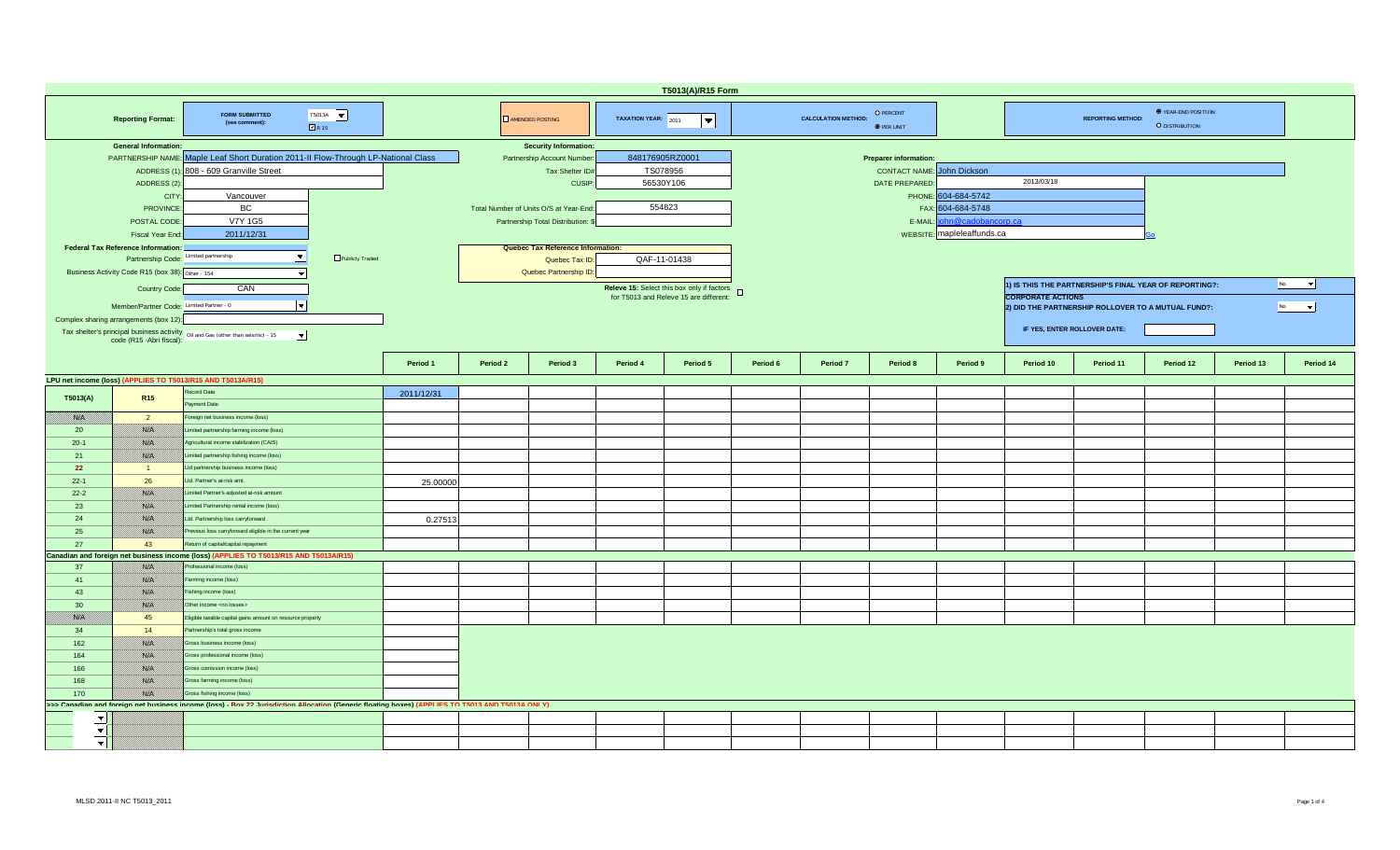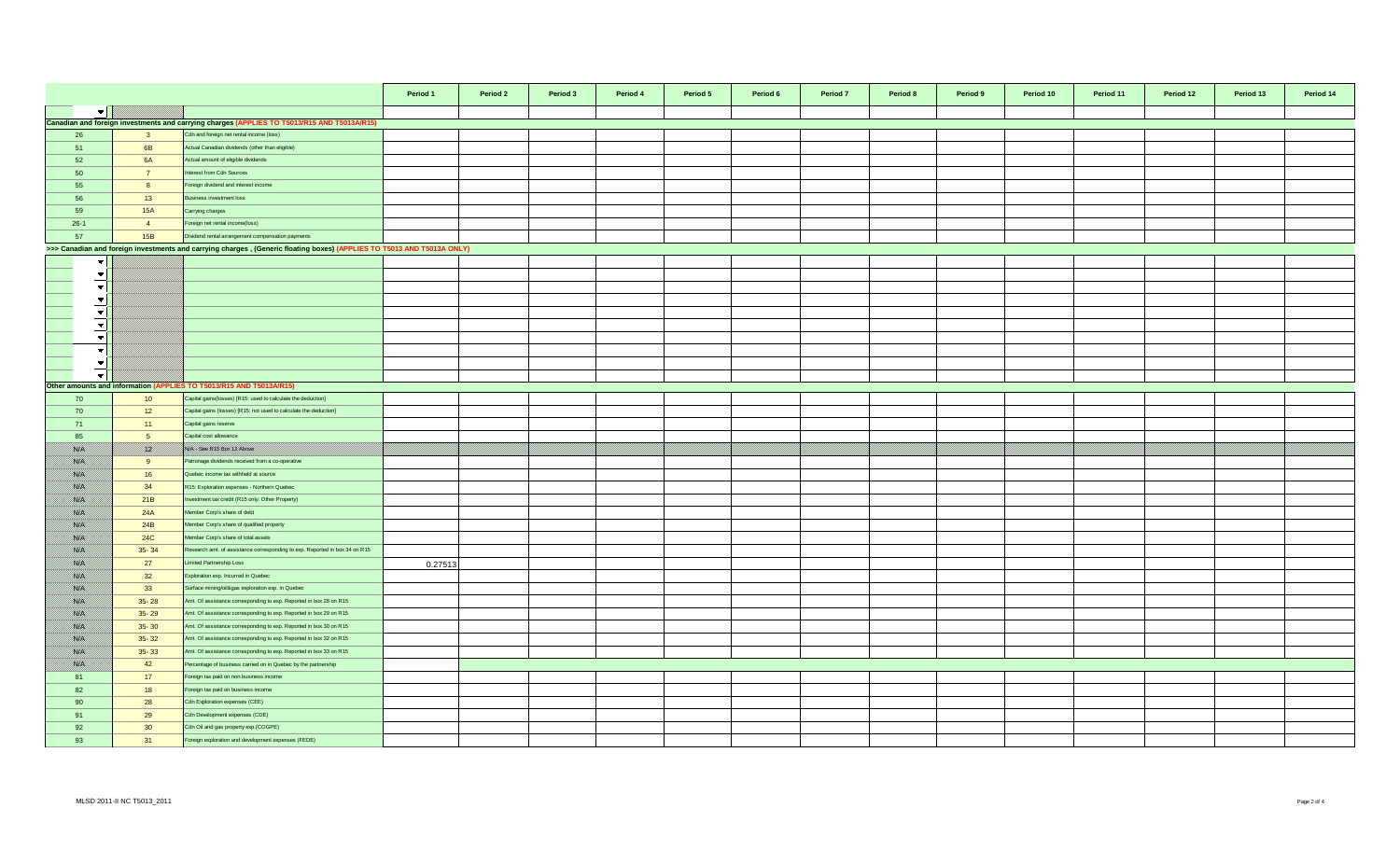|                            |                 |                                                                                                                        | Period 1 | Period 2 | Period 3 | Period 4 | Period 5 | Period 6 | Period 7 | Period 8<br>Period 9 | Period 10 | Period 11 | Period 12 | Period 13 | Period 14 |
|----------------------------|-----------------|------------------------------------------------------------------------------------------------------------------------|----------|----------|----------|----------|----------|----------|----------|----------------------|-----------|-----------|-----------|-----------|-----------|
| $\blacktriangledown$       |                 |                                                                                                                        |          |          |          |          |          |          |          |                      |           |           |           |           |           |
|                            |                 | Canadian and foreign investments and carrying charges (APPLIES TO T5013/R15 AND T5013A/R15)                            |          |          |          |          |          |          |          |                      |           |           |           |           |           |
| 26                         | $\mathbf{3}$    | Cdn and foreign net rental income (loss)                                                                               |          |          |          |          |          |          |          |                      |           |           |           |           |           |
| 51                         | 6B              | Actual Canadian dividends (other than eligible)                                                                        |          |          |          |          |          |          |          |                      |           |           |           |           |           |
| 52                         | 6A              | Actual amount of eligible dividends                                                                                    |          |          |          |          |          |          |          |                      |           |           |           |           |           |
| 50                         | $\overline{7}$  | nterest from Cdn Sources                                                                                               |          |          |          |          |          |          |          |                      |           |           |           |           |           |
| 55                         | 8               | oreign dividend and interest income                                                                                    |          |          |          |          |          |          |          |                      |           |           |           |           |           |
| 56                         | 13              | usiness investment loss                                                                                                |          |          |          |          |          |          |          |                      |           |           |           |           |           |
| 59                         | <b>15A</b>      | Carrying charges                                                                                                       |          |          |          |          |          |          |          |                      |           |           |           |           |           |
| $26-1$                     | $\overline{4}$  | oreign net rental income(loss)                                                                                         |          |          |          |          |          |          |          |                      |           |           |           |           |           |
| 57                         | 15B             | Dividend rental arrangement compensation payments                                                                      |          |          |          |          |          |          |          |                      |           |           |           |           |           |
|                            |                 |                                                                                                                        |          |          |          |          |          |          |          |                      |           |           |           |           |           |
|                            |                 | >>> Canadian and foreign investments and carrying charges, (Generic floating boxes) (APPLIES TO T5013 AND T5013A ONLY) |          |          |          |          |          |          |          |                      |           |           |           |           |           |
| $\mathbf{v}$               |                 |                                                                                                                        |          |          |          |          |          |          |          |                      |           |           |           |           |           |
| $\overline{\phantom{a}}$   |                 |                                                                                                                        |          |          |          |          |          |          |          |                      |           |           |           |           |           |
| $\vert \cdot \vert$        |                 |                                                                                                                        |          |          |          |          |          |          |          |                      |           |           |           |           |           |
| $\overline{\phantom{a}}$   |                 |                                                                                                                        |          |          |          |          |          |          |          |                      |           |           |           |           |           |
| $\blacktriangledown$       |                 |                                                                                                                        |          |          |          |          |          |          |          |                      |           |           |           |           |           |
| $\overline{\phantom{a}}$   |                 |                                                                                                                        |          |          |          |          |          |          |          |                      |           |           |           |           |           |
| $\overline{\phantom{a}}$   |                 |                                                                                                                        |          |          |          |          |          |          |          |                      |           |           |           |           |           |
| $\blacktriangledown$       |                 |                                                                                                                        |          |          |          |          |          |          |          |                      |           |           |           |           |           |
| $\overline{\phantom{a}}$   |                 |                                                                                                                        |          |          |          |          |          |          |          |                      |           |           |           |           |           |
| $\overline{\phantom{a}}$   |                 |                                                                                                                        |          |          |          |          |          |          |          |                      |           |           |           |           |           |
|                            |                 | Other amounts and information (APPLIES TO T5013/R15 AND T5013A/R15)                                                    |          |          |          |          |          |          |          |                      |           |           |           |           |           |
| 70                         | 10              | Capital gains (losses) [R15: used to calculate the deduction]                                                          |          |          |          |          |          |          |          |                      |           |           |           |           |           |
| 70                         | 12              | Capital gains (losses) [R15: not used to calculate the deduction]                                                      |          |          |          |          |          |          |          |                      |           |           |           |           |           |
| 71                         | 11              | Capital gains reserve                                                                                                  |          |          |          |          |          |          |          |                      |           |           |           |           |           |
| 85                         | 5 <sup>5</sup>  | Capital cost allowance                                                                                                 |          |          |          |          |          |          |          |                      |           |           |           |           |           |
| <b>Sida</b>                | <u> Kill</u>    | <b>NIA Sea R15 Box 12 Above</b>                                                                                        |          |          |          |          |          |          |          |                      |           |           |           |           |           |
| ssa.                       | 9               | atronage dividends received from a co-operative                                                                        |          |          |          |          |          |          |          |                      |           |           |           |           |           |
| 88. I                      | 16              | Quebec income tax withheld at source                                                                                   |          |          |          |          |          |          |          |                      |           |           |           |           |           |
| ssiel                      | 34              | R15: Exploration expenses - Northern Quebec                                                                            |          |          |          |          |          |          |          |                      |           |           |           |           |           |
| <b>SSIE</b>                | 21B             | westment tax credit (R15 only: Other Property)                                                                         |          |          |          |          |          |          |          |                      |           |           |           |           |           |
| <b>SSIE</b>                | 24A             | Member Corp's share of debt                                                                                            |          |          |          |          |          |          |          |                      |           |           |           |           |           |
| <b>Side S</b>              | 24B             | Member Corp's share of qualified property                                                                              |          |          |          |          |          |          |          |                      |           |           |           |           |           |
| <b>Side S</b>              | 24C             | Member Corp's share of total assets                                                                                    |          |          |          |          |          |          |          |                      |           |           |           |           |           |
| <b>Side S</b>              | $35 - 34$       | Research amt. of assistance corresponding to exp. Reported in box 34 on R15                                            |          |          |          |          |          |          |          |                      |           |           |           |           |           |
| 88. I                      | 27              | imited Partnership Loss                                                                                                | 0.27513  |          |          |          |          |          |          |                      |           |           |           |           |           |
| ssa.                       | 32              | Exploration exp. Incurred in Quebec                                                                                    |          |          |          |          |          |          |          |                      |           |           |           |           |           |
| <b>SALE</b>                | 33              | Surface mining/oil&gas exploration exp. in Quebec                                                                      |          |          |          |          |          |          |          |                      |           |           |           |           |           |
| <b>SSIE</b>                | $35 - 28$       | Amt. Of assistance corresponding to exp. Reported in box 28 on R15                                                     |          |          |          |          |          |          |          |                      |           |           |           |           |           |
|                            |                 | Amt. Of assistance corresponding to exp. Reported in box 29 on R15                                                     |          |          |          |          |          |          |          |                      |           |           |           |           |           |
| <b>SSEE</b><br><b>SSON</b> | $35 - 29$       |                                                                                                                        |          |          |          |          |          |          |          |                      |           |           |           |           |           |
|                            | $35 - 30$       | Amt. Of assistance corresponding to exp. Reported in box 30 on R15                                                     |          |          |          |          |          |          |          |                      |           |           |           |           |           |
| <b>Side S</b>              | $35 - 32$       | Amt. Of assistance corresponding to exp. Reported in box 32 on R15                                                     |          |          |          |          |          |          |          |                      |           |           |           |           |           |
| <b>Side S</b>              | $35 - 33$       | Amt. Of assistance corresponding to exp. Reported in box 33 on R15                                                     |          |          |          |          |          |          |          |                      |           |           |           |           |           |
| <b>Side S</b>              | 42              | Percentage of business carried on in Quebec by the partnership                                                         |          |          |          |          |          |          |          |                      |           |           |           |           |           |
| 81                         | 17              | oreign tax paid on non business income                                                                                 |          |          |          |          |          |          |          |                      |           |           |           |           |           |
| 82                         | 18              | oreign tax paid on business income                                                                                     |          |          |          |          |          |          |          |                      |           |           |           |           |           |
| 90                         | 28              | Cdn Exploration expenses (CEE)                                                                                         |          |          |          |          |          |          |          |                      |           |           |           |           |           |
| 91                         | 29              | Cdn Development expenses (CDE)                                                                                         |          |          |          |          |          |          |          |                      |           |           |           |           |           |
| 92                         | 30 <sup>°</sup> | Cdn Oil and gas property exp.(COGPE)                                                                                   |          |          |          |          |          |          |          |                      |           |           |           |           |           |
| 93                         | 31              | oreign exploration and development expenses (FEDE)                                                                     |          |          |          |          |          |          |          |                      |           |           |           |           |           |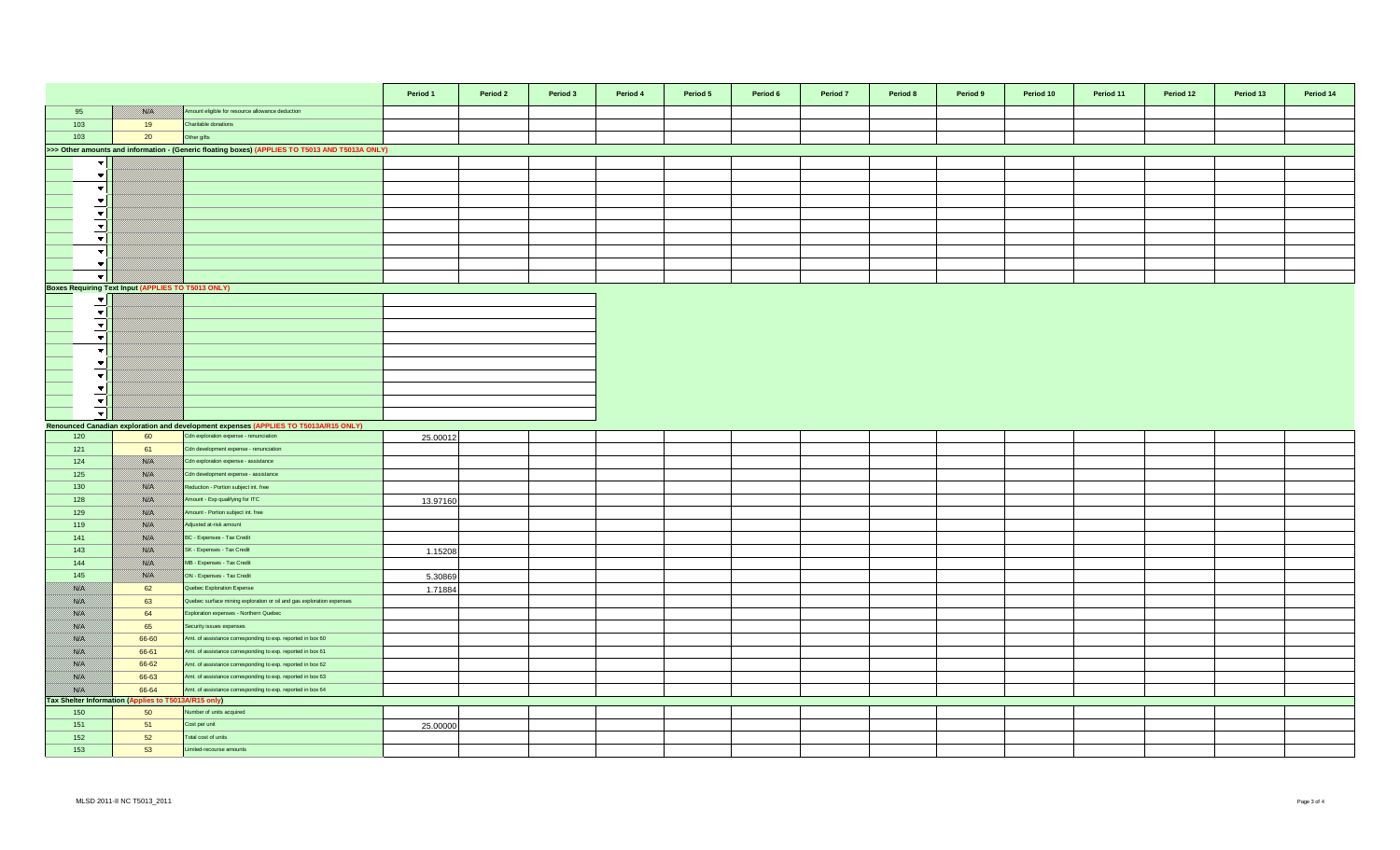|                                                                                                 |                                                      |                                                                                      | Period 1 | Period 2 | Period 3 | Period 4 | Period 5 | Period 6 | Period 7 | Period 8 | Period 9 | Period 10 | Period 11 | Period 12 | Period 13 | Period 14 |
|-------------------------------------------------------------------------------------------------|------------------------------------------------------|--------------------------------------------------------------------------------------|----------|----------|----------|----------|----------|----------|----------|----------|----------|-----------|-----------|-----------|-----------|-----------|
| 95                                                                                              | <b>Side</b>                                          | Amount eligible for resource allowance deduction                                     |          |          |          |          |          |          |          |          |          |           |           |           |           |           |
| 103                                                                                             | 19                                                   | Charitable donations                                                                 |          |          |          |          |          |          |          |          |          |           |           |           |           |           |
| 103                                                                                             | 20                                                   | Other gifts                                                                          |          |          |          |          |          |          |          |          |          |           |           |           |           |           |
| >>> Other amounts and information - (Generic floating boxes) (APPLIES TO T5013 AND T5013A ONLY) |                                                      |                                                                                      |          |          |          |          |          |          |          |          |          |           |           |           |           |           |
| $\overline{\phantom{a}}$                                                                        |                                                      |                                                                                      |          |          |          |          |          |          |          |          |          |           |           |           |           |           |
| $\overline{\phantom{a}}$                                                                        |                                                      |                                                                                      |          |          |          |          |          |          |          |          |          |           |           |           |           |           |
| $\overline{\phantom{a}}$                                                                        |                                                      |                                                                                      |          |          |          |          |          |          |          |          |          |           |           |           |           |           |
| $\blacktriangledown$                                                                            |                                                      |                                                                                      |          |          |          |          |          |          |          |          |          |           |           |           |           |           |
| $\overline{\phantom{a}}$                                                                        |                                                      |                                                                                      |          |          |          |          |          |          |          |          |          |           |           |           |           |           |
| ╶┯╎                                                                                             |                                                      |                                                                                      |          |          |          |          |          |          |          |          |          |           |           |           |           |           |
| $\blacktriangledown$                                                                            |                                                      |                                                                                      |          |          |          |          |          |          |          |          |          |           |           |           |           |           |
| $\overline{\phantom{a}}$                                                                        |                                                      |                                                                                      |          |          |          |          |          |          |          |          |          |           |           |           |           |           |
| $\overline{\phantom{a}}$                                                                        |                                                      |                                                                                      |          |          |          |          |          |          |          |          |          |           |           |           |           |           |
| _च                                                                                              |                                                      |                                                                                      |          |          |          |          |          |          |          |          |          |           |           |           |           |           |
| <b>Boxes Requiring Text Input (APPLIES TO T5013 ONLY)</b>                                       |                                                      |                                                                                      |          |          |          |          |          |          |          |          |          |           |           |           |           |           |
| $\blacktriangledown$ $\mid$                                                                     |                                                      |                                                                                      |          |          |          |          |          |          |          |          |          |           |           |           |           |           |
| $\vert \bm{\triangledown} \vert$                                                                |                                                      |                                                                                      |          |          |          |          |          |          |          |          |          |           |           |           |           |           |
| $\vert \mathbf{v} \vert$                                                                        |                                                      |                                                                                      |          |          |          |          |          |          |          |          |          |           |           |           |           |           |
| $\overline{\mathbf{v}}$                                                                         |                                                      |                                                                                      |          |          |          |          |          |          |          |          |          |           |           |           |           |           |
| $\overline{\phantom{a}}$                                                                        |                                                      |                                                                                      |          |          |          |          |          |          |          |          |          |           |           |           |           |           |
| $\overline{\phantom{a}}$                                                                        |                                                      |                                                                                      |          |          |          |          |          |          |          |          |          |           |           |           |           |           |
| $\vert \cdot \vert$                                                                             |                                                      |                                                                                      |          |          |          |          |          |          |          |          |          |           |           |           |           |           |
| $\vert \mathbf{v} \vert$                                                                        |                                                      |                                                                                      |          |          |          |          |          |          |          |          |          |           |           |           |           |           |
| $\vert \mathbf{v} \vert$                                                                        |                                                      |                                                                                      |          |          |          |          |          |          |          |          |          |           |           |           |           |           |
| $\bullet$                                                                                       |                                                      |                                                                                      |          |          |          |          |          |          |          |          |          |           |           |           |           |           |
|                                                                                                 |                                                      | Renounced Canadian exploration and development expenses (APPLIES TO T5013A/R15 ONLY) |          |          |          |          |          |          |          |          |          |           |           |           |           |           |
| 120                                                                                             | 60                                                   | Cdn exploration expense - renunciation                                               | 25.00012 |          |          |          |          |          |          |          |          |           |           |           |           |           |
| 121                                                                                             | 61                                                   | Cdn development expense - renunciation                                               |          |          |          |          |          |          |          |          |          |           |           |           |           |           |
| 124                                                                                             | <b>Side</b>                                          | Cdn exploration expense - assistance                                                 |          |          |          |          |          |          |          |          |          |           |           |           |           |           |
| 125                                                                                             | <b>Sida</b>                                          | Cdn development expense - assistance                                                 |          |          |          |          |          |          |          |          |          |           |           |           |           |           |
| 130                                                                                             | NB                                                   | Reduction - Portion subject int. free                                                |          |          |          |          |          |          |          |          |          |           |           |           |           |           |
| 128                                                                                             | <b>SSA</b>                                           | Amount - Exp qualifying for ITC                                                      | 13.97160 |          |          |          |          |          |          |          |          |           |           |           |           |           |
| 129                                                                                             | ssas.                                                | Amount - Portion subject int. free                                                   |          |          |          |          |          |          |          |          |          |           |           |           |           |           |
| 119                                                                                             | <b>Sida</b>                                          | Adjusted at-risk amount                                                              |          |          |          |          |          |          |          |          |          |           |           |           |           |           |
| 141                                                                                             | <b>SKA</b>                                           | BC - Expenses - Tax Credit                                                           |          |          |          |          |          |          |          |          |          |           |           |           |           |           |
| 143                                                                                             | <b>SKA</b>                                           | SK - Expenses - Tax Credit                                                           | 1.15208  |          |          |          |          |          |          |          |          |           |           |           |           |           |
| 144                                                                                             | <b>Side</b>                                          | MB - Expenses - Tax Credit                                                           |          |          |          |          |          |          |          |          |          |           |           |           |           |           |
| 145                                                                                             | <b>Side</b>                                          | ON - Expenses - Tax Credit                                                           | 5.30869  |          |          |          |          |          |          |          |          |           |           |           |           |           |
| <u>ma</u>                                                                                       | 62                                                   | Quebec Exploration Expense                                                           | 1.71884  |          |          |          |          |          |          |          |          |           |           |           |           |           |
| 788. E                                                                                          | 63                                                   | Quebec surface mining exploration or oil and gas exploration expenses                |          |          |          |          |          |          |          |          |          |           |           |           |           |           |
| 788. E<br>i sara                                                                                | 64<br>65                                             | Exploration expenses - Northern Quebec<br>Security issues expenses                   |          |          |          |          |          |          |          |          |          |           |           |           |           |           |
| <b>SARA</b>                                                                                     | 66-60                                                | Amt. of assistance corresponding to exp. reported in box 60                          |          |          |          |          |          |          |          |          |          |           |           |           |           |           |
| <b>SSLAS</b>                                                                                    | 66-61                                                | Amt. of assistance corresponding to exp. reported in box 61                          |          |          |          |          |          |          |          |          |          |           |           |           |           |           |
| <b>BAR</b>                                                                                      | 66-62                                                | Amt. of assistance corresponding to exp. reported in box 62                          |          |          |          |          |          |          |          |          |          |           |           |           |           |           |
| <b>SALE</b>                                                                                     | 66-63                                                | Amt. of assistance corresponding to exp. reported in box 63                          |          |          |          |          |          |          |          |          |          |           |           |           |           |           |
| <b>BAR</b>                                                                                      | 66-64                                                | Amt. of assistance corresponding to exp. reported in box 64                          |          |          |          |          |          |          |          |          |          |           |           |           |           |           |
|                                                                                                 | Tax Shelter Information (Applies to T5013A/R15 only) |                                                                                      |          |          |          |          |          |          |          |          |          |           |           |           |           |           |
| 150                                                                                             | 50                                                   | Number of units acquired                                                             |          |          |          |          |          |          |          |          |          |           |           |           |           |           |
| 151                                                                                             | 51                                                   | Cost per unit                                                                        | 25.00000 |          |          |          |          |          |          |          |          |           |           |           |           |           |
| 152                                                                                             | 52                                                   | otal cost of units                                                                   |          |          |          |          |          |          |          |          |          |           |           |           |           |           |
| 153                                                                                             | 53                                                   | Limited-recourse amounts                                                             |          |          |          |          |          |          |          |          |          |           |           |           |           |           |